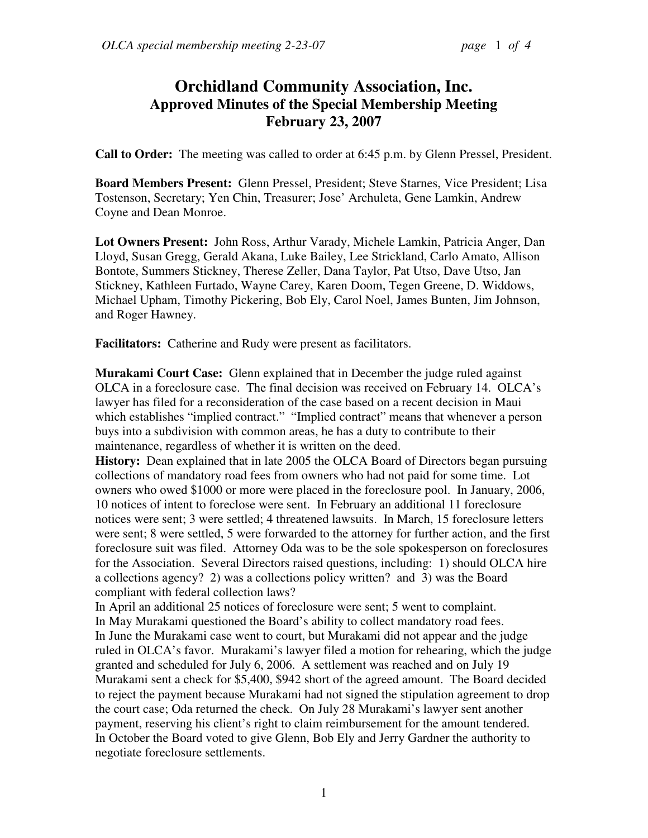## **Orchidland Community Association, Inc. Approved Minutes of the Special Membership Meeting February 23, 2007**

**Call to Order:** The meeting was called to order at 6:45 p.m. by Glenn Pressel, President.

**Board Members Present:** Glenn Pressel, President; Steve Starnes, Vice President; Lisa Tostenson, Secretary; Yen Chin, Treasurer; Jose' Archuleta, Gene Lamkin, Andrew Coyne and Dean Monroe.

**Lot Owners Present:** John Ross, Arthur Varady, Michele Lamkin, Patricia Anger, Dan Lloyd, Susan Gregg, Gerald Akana, Luke Bailey, Lee Strickland, Carlo Amato, Allison Bontote, Summers Stickney, Therese Zeller, Dana Taylor, Pat Utso, Dave Utso, Jan Stickney, Kathleen Furtado, Wayne Carey, Karen Doom, Tegen Greene, D. Widdows, Michael Upham, Timothy Pickering, Bob Ely, Carol Noel, James Bunten, Jim Johnson, and Roger Hawney.

**Facilitators:** Catherine and Rudy were present as facilitators.

**Murakami Court Case:** Glenn explained that in December the judge ruled against OLCA in a foreclosure case. The final decision was received on February 14. OLCA's lawyer has filed for a reconsideration of the case based on a recent decision in Maui which establishes "implied contract." "Implied contract" means that whenever a person buys into a subdivision with common areas, he has a duty to contribute to their maintenance, regardless of whether it is written on the deed.

**History:** Dean explained that in late 2005 the OLCA Board of Directors began pursuing collections of mandatory road fees from owners who had not paid for some time. Lot owners who owed \$1000 or more were placed in the foreclosure pool. In January, 2006, 10 notices of intent to foreclose were sent. In February an additional 11 foreclosure notices were sent; 3 were settled; 4 threatened lawsuits. In March, 15 foreclosure letters were sent; 8 were settled, 5 were forwarded to the attorney for further action, and the first foreclosure suit was filed. Attorney Oda was to be the sole spokesperson on foreclosures for the Association. Several Directors raised questions, including: 1) should OLCA hire a collections agency? 2) was a collections policy written? and 3) was the Board compliant with federal collection laws?

In April an additional 25 notices of foreclosure were sent; 5 went to complaint. In May Murakami questioned the Board's ability to collect mandatory road fees. In June the Murakami case went to court, but Murakami did not appear and the judge ruled in OLCA's favor. Murakami's lawyer filed a motion for rehearing, which the judge granted and scheduled for July 6, 2006. A settlement was reached and on July 19 Murakami sent a check for \$5,400, \$942 short of the agreed amount. The Board decided to reject the payment because Murakami had not signed the stipulation agreement to drop the court case; Oda returned the check. On July 28 Murakami's lawyer sent another payment, reserving his client's right to claim reimbursement for the amount tendered. In October the Board voted to give Glenn, Bob Ely and Jerry Gardner the authority to negotiate foreclosure settlements.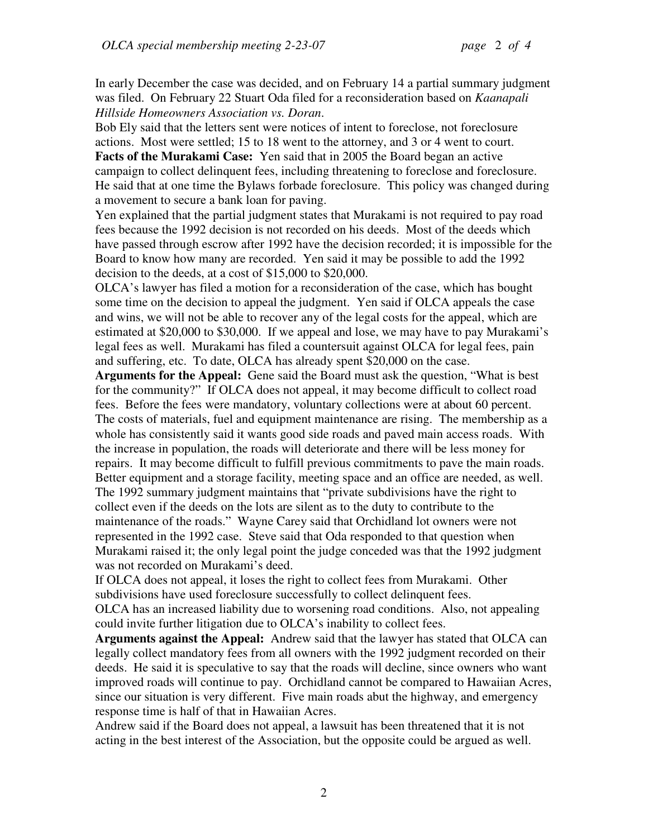In early December the case was decided, and on February 14 a partial summary judgment was filed. On February 22 Stuart Oda filed for a reconsideration based on *Kaanapali Hillside Homeowners Association vs. Doran*.

Bob Ely said that the letters sent were notices of intent to foreclose, not foreclosure actions. Most were settled; 15 to 18 went to the attorney, and 3 or 4 went to court. **Facts of the Murakami Case:** Yen said that in 2005 the Board began an active campaign to collect delinquent fees, including threatening to foreclose and foreclosure. He said that at one time the Bylaws forbade foreclosure. This policy was changed during a movement to secure a bank loan for paving.

Yen explained that the partial judgment states that Murakami is not required to pay road fees because the 1992 decision is not recorded on his deeds. Most of the deeds which have passed through escrow after 1992 have the decision recorded; it is impossible for the Board to know how many are recorded. Yen said it may be possible to add the 1992 decision to the deeds, at a cost of \$15,000 to \$20,000.

OLCA's lawyer has filed a motion for a reconsideration of the case, which has bought some time on the decision to appeal the judgment. Yen said if OLCA appeals the case and wins, we will not be able to recover any of the legal costs for the appeal, which are estimated at \$20,000 to \$30,000. If we appeal and lose, we may have to pay Murakami's legal fees as well. Murakami has filed a countersuit against OLCA for legal fees, pain and suffering, etc. To date, OLCA has already spent \$20,000 on the case.

**Arguments for the Appeal:** Gene said the Board must ask the question, "What is best for the community?" If OLCA does not appeal, it may become difficult to collect road fees. Before the fees were mandatory, voluntary collections were at about 60 percent. The costs of materials, fuel and equipment maintenance are rising. The membership as a whole has consistently said it wants good side roads and paved main access roads. With the increase in population, the roads will deteriorate and there will be less money for repairs. It may become difficult to fulfill previous commitments to pave the main roads. Better equipment and a storage facility, meeting space and an office are needed, as well. The 1992 summary judgment maintains that "private subdivisions have the right to collect even if the deeds on the lots are silent as to the duty to contribute to the maintenance of the roads." Wayne Carey said that Orchidland lot owners were not represented in the 1992 case. Steve said that Oda responded to that question when Murakami raised it; the only legal point the judge conceded was that the 1992 judgment was not recorded on Murakami's deed.

If OLCA does not appeal, it loses the right to collect fees from Murakami. Other subdivisions have used foreclosure successfully to collect delinquent fees.

OLCA has an increased liability due to worsening road conditions. Also, not appealing could invite further litigation due to OLCA's inability to collect fees.

**Arguments against the Appeal:** Andrew said that the lawyer has stated that OLCA can legally collect mandatory fees from all owners with the 1992 judgment recorded on their deeds. He said it is speculative to say that the roads will decline, since owners who want improved roads will continue to pay. Orchidland cannot be compared to Hawaiian Acres, since our situation is very different. Five main roads abut the highway, and emergency response time is half of that in Hawaiian Acres.

Andrew said if the Board does not appeal, a lawsuit has been threatened that it is not acting in the best interest of the Association, but the opposite could be argued as well.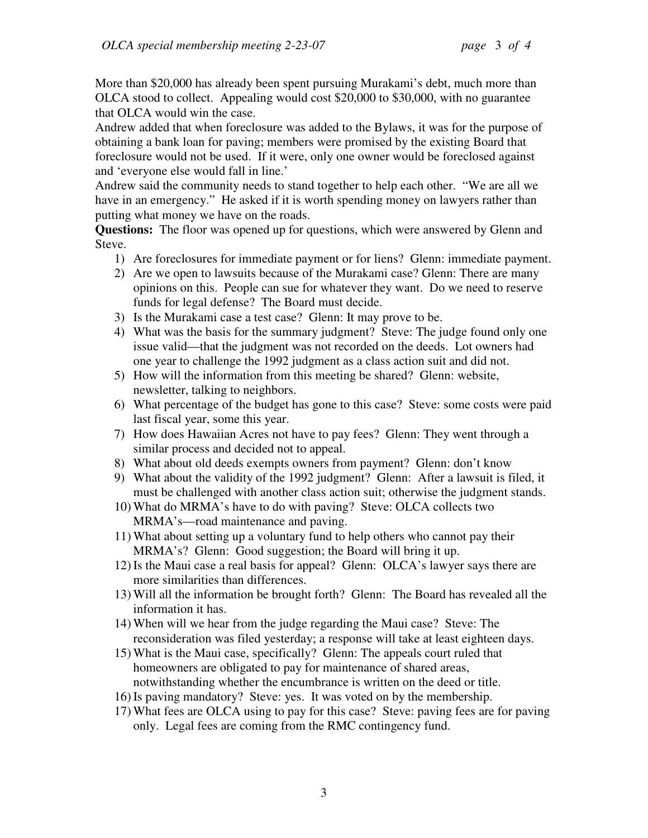More than \$20,000 has already been spent pursuing Murakami's debt, much more than OLCA stood to collect. Appealing would cost \$20,000 to \$30,000, with no guarantee that OLCA would win the case.

Andrew added that when foreclosure was added to the Bylaws, it was for the purpose of obtaining a bank loan for paving; members were promised by the existing Board that foreclosure would not be used. If it were, only one owner would be foreclosed against and 'everyone else would fall in line.'

Andrew said the community needs to stand together to help each other. "We are all we have in an emergency." He asked if it is worth spending money on lawyers rather than putting what money we have on the roads.

**Questions:** The floor was opened up for questions, which were answered by Glenn and Steve.

- 1) Are foreclosures for immediate payment or for liens? Glenn: immediate payment.
- 2) Are we open to lawsuits because of the Murakami case? Glenn: There are many opinions on this. People can sue for whatever they want. Do we need to reserve funds for legal defense? The Board must decide.
- 3) Is the Murakami case a test case? Glenn: It may prove to be.
- 4) What was the basis for the summary judgment? Steve: The judge found only one issue valid—that the judgment was not recorded on the deeds. Lot owners had one year to challenge the 1992 judgment as a class action suit and did not.
- 5) How will the information from this meeting be shared? Glenn: website, newsletter, talking to neighbors.
- 6) What percentage of the budget has gone to this case? Steve: some costs were paid last fiscal year, some this year.
- 7) How does Hawaiian Acres not have to pay fees? Glenn: They went through a similar process and decided not to appeal.
- 8) What about old deeds exempts owners from payment? Glenn: don't know
- 9) What about the validity of the 1992 judgment? Glenn: After a lawsuit is filed, it must be challenged with another class action suit; otherwise the judgment stands.
- 10) What do MRMA's have to do with paving? Steve: OLCA collects two MRMA's—road maintenance and paving.
- 11) What about setting up a voluntary fund to help others who cannot pay their MRMA's? Glenn: Good suggestion; the Board will bring it up.
- 12) Is the Maui case a real basis for appeal? Glenn: OLCA's lawyer says there are more similarities than differences.
- 13) Will all the information be brought forth? Glenn: The Board has revealed all the information it has.
- 14) When will we hear from the judge regarding the Maui case? Steve: The reconsideration was filed yesterday; a response will take at least eighteen days.
- 15) What is the Maui case, specifically? Glenn: The appeals court ruled that homeowners are obligated to pay for maintenance of shared areas, notwithstanding whether the encumbrance is written on the deed or title.
- 16) Is paving mandatory? Steve: yes. It was voted on by the membership.
- 17) What fees are OLCA using to pay for this case? Steve: paving fees are for paving only. Legal fees are coming from the RMC contingency fund.